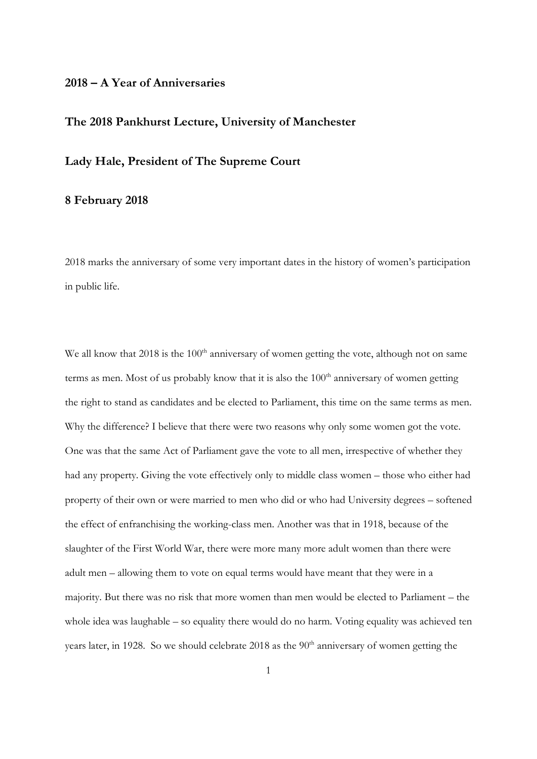## **2018 – A Year of Anniversaries**

## **The 2018 Pankhurst Lecture, University of Manchester**

## **Lady Hale, President of The Supreme Court**

## **8 February 2018**

2018 marks the anniversary of some very important dates in the history of women's participation in public life.

We all know that  $2018$  is the  $100<sup>th</sup>$  anniversary of women getting the vote, although not on same terms as men. Most of us probably know that it is also the  $100<sup>th</sup>$  anniversary of women getting the right to stand as candidates and be elected to Parliament, this time on the same terms as men. Why the difference? I believe that there were two reasons why only some women got the vote. One was that the same Act of Parliament gave the vote to all men, irrespective of whether they had any property. Giving the vote effectively only to middle class women – those who either had property of their own or were married to men who did or who had University degrees – softened the effect of enfranchising the working-class men. Another was that in 1918, because of the slaughter of the First World War, there were more many more adult women than there were adult men – allowing them to vote on equal terms would have meant that they were in a majority. But there was no risk that more women than men would be elected to Parliament – the whole idea was laughable – so equality there would do no harm. Voting equality was achieved ten years later, in 1928. So we should celebrate 2018 as the  $90<sup>th</sup>$  anniversary of women getting the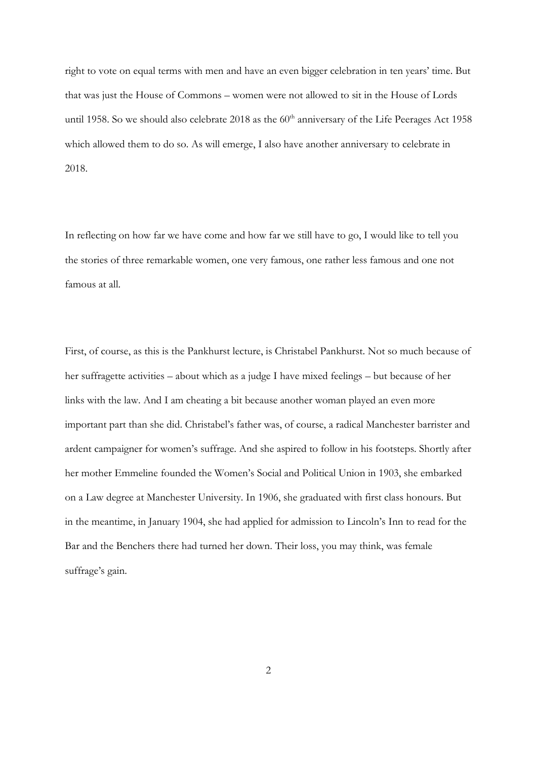right to vote on equal terms with men and have an even bigger celebration in ten years' time. But that was just the House of Commons – women were not allowed to sit in the House of Lords until 1958. So we should also celebrate 2018 as the 60<sup>th</sup> anniversary of the Life Peerages Act 1958 which allowed them to do so. As will emerge, I also have another anniversary to celebrate in 2018.

In reflecting on how far we have come and how far we still have to go, I would like to tell you the stories of three remarkable women, one very famous, one rather less famous and one not famous at all.

First, of course, as this is the Pankhurst lecture, is Christabel Pankhurst. Not so much because of her suffragette activities – about which as a judge I have mixed feelings – but because of her links with the law. And I am cheating a bit because another woman played an even more important part than she did. Christabel's father was, of course, a radical Manchester barrister and ardent campaigner for women's suffrage. And she aspired to follow in his footsteps. Shortly after her mother Emmeline founded the Women's Social and Political Union in 1903, she embarked on a Law degree at Manchester University. In 1906, she graduated with first class honours. But in the meantime, in January 1904, she had applied for admission to Lincoln's Inn to read for the Bar and the Benchers there had turned her down. Their loss, you may think, was female suffrage's gain.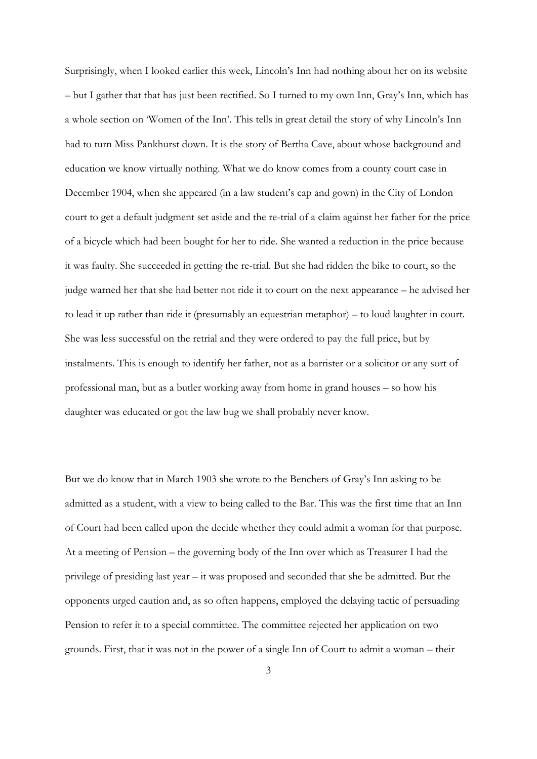Surprisingly, when I looked earlier this week, Lincoln's Inn had nothing about her on its website – but I gather that that has just been rectified. So I turned to my own Inn, Gray's Inn, which has a whole section on 'Women of the Inn'. This tells in great detail the story of why Lincoln's Inn had to turn Miss Pankhurst down. It is the story of Bertha Cave, about whose background and education we know virtually nothing. What we do know comes from a county court case in December 1904, when she appeared (in a law student's cap and gown) in the City of London court to get a default judgment set aside and the re-trial of a claim against her father for the price of a bicycle which had been bought for her to ride. She wanted a reduction in the price because it was faulty. She succeeded in getting the re-trial. But she had ridden the bike to court, so the judge warned her that she had better not ride it to court on the next appearance – he advised her to lead it up rather than ride it (presumably an equestrian metaphor) – to loud laughter in court. She was less successful on the retrial and they were ordered to pay the full price, but by instalments. This is enough to identify her father, not as a barrister or a solicitor or any sort of professional man, but as a butler working away from home in grand houses – so how his daughter was educated or got the law bug we shall probably never know.

But we do know that in March 1903 she wrote to the Benchers of Gray's Inn asking to be admitted as a student, with a view to being called to the Bar. This was the first time that an Inn of Court had been called upon the decide whether they could admit a woman for that purpose. At a meeting of Pension – the governing body of the Inn over which as Treasurer I had the privilege of presiding last year – it was proposed and seconded that she be admitted. But the opponents urged caution and, as so often happens, employed the delaying tactic of persuading Pension to refer it to a special committee. The committee rejected her application on two grounds. First, that it was not in the power of a single Inn of Court to admit a woman – their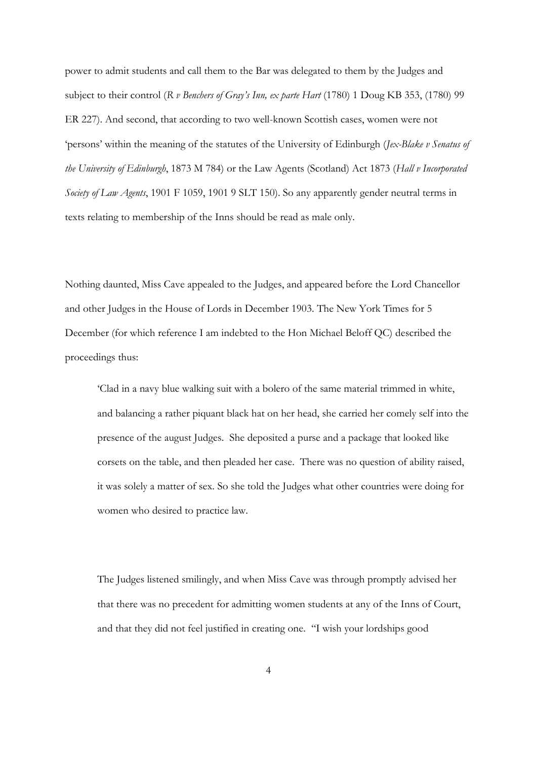power to admit students and call them to the Bar was delegated to them by the Judges and subject to their control (*R v Benchers of Gray's Inn, ex parte Hart* (1780) 1 Doug KB 353, (1780) 99 ER 227). And second, that according to two well-known Scottish cases, women were not 'persons' within the meaning of the statutes of the University of Edinburgh (*Jex-Blake v Senatus of the University of Edinburgh*, 1873 M 784) or the Law Agents (Scotland) Act 1873 (*Hall v Incorporated Society of Law Agents*, 1901 F 1059, 1901 9 SLT 150). So any apparently gender neutral terms in texts relating to membership of the Inns should be read as male only.

Nothing daunted, Miss Cave appealed to the Judges, and appeared before the Lord Chancellor and other Judges in the House of Lords in December 1903. The New York Times for 5 December (for which reference I am indebted to the Hon Michael Beloff QC) described the proceedings thus:

'Clad in a navy blue walking suit with a bolero of the same material trimmed in white, and balancing a rather piquant black hat on her head, she carried her comely self into the presence of the august Judges. She deposited a purse and a package that looked like corsets on the table, and then pleaded her case. There was no question of ability raised, it was solely a matter of sex. So she told the Judges what other countries were doing for women who desired to practice law.

The Judges listened smilingly, and when Miss Cave was through promptly advised her that there was no precedent for admitting women students at any of the Inns of Court, and that they did not feel justified in creating one. "I wish your lordships good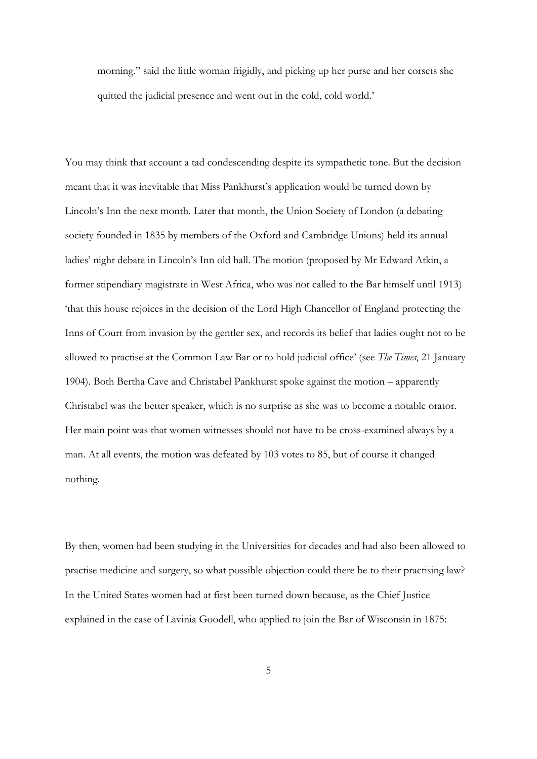morning." said the little woman frigidly, and picking up her purse and her corsets she quitted the judicial presence and went out in the cold, cold world.'

You may think that account a tad condescending despite its sympathetic tone. But the decision meant that it was inevitable that Miss Pankhurst's application would be turned down by Lincoln's Inn the next month. Later that month, the Union Society of London (a debating society founded in 1835 by members of the Oxford and Cambridge Unions) held its annual ladies' night debate in Lincoln's Inn old hall. The motion (proposed by Mr Edward Atkin, a former stipendiary magistrate in West Africa, who was not called to the Bar himself until 1913) 'that this house rejoices in the decision of the Lord High Chancellor of England protecting the Inns of Court from invasion by the gentler sex, and records its belief that ladies ought not to be allowed to practise at the Common Law Bar or to hold judicial office' (see *The Times*, 21 January 1904). Both Bertha Cave and Christabel Pankhurst spoke against the motion – apparently Christabel was the better speaker, which is no surprise as she was to become a notable orator. Her main point was that women witnesses should not have to be cross-examined always by a man. At all events, the motion was defeated by 103 votes to 85, but of course it changed nothing.

By then, women had been studying in the Universities for decades and had also been allowed to practise medicine and surgery, so what possible objection could there be to their practising law? In the United States women had at first been turned down because, as the Chief Justice explained in the case of Lavinia Goodell, who applied to join the Bar of Wisconsin in 1875: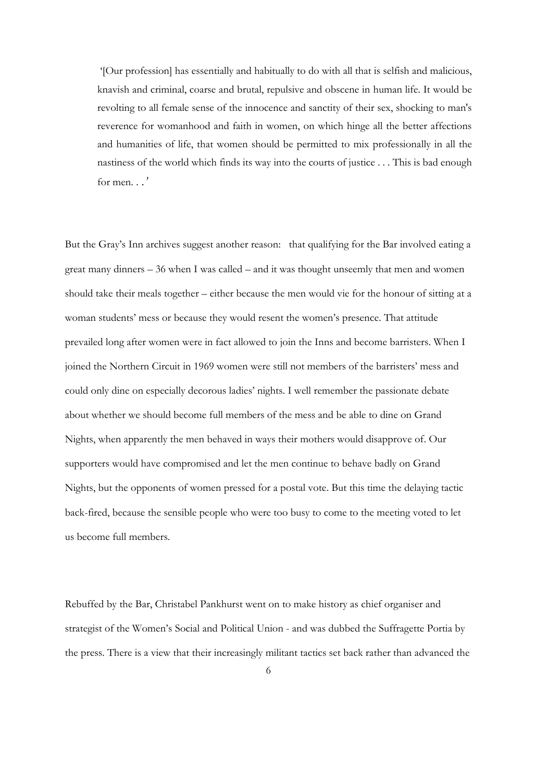'[Our profession] has essentially and habitually to do with all that is selfish and malicious, knavish and criminal, coarse and brutal, repulsive and obscene in human life. It would be revolting to all female sense of the innocence and sanctity of their sex, shocking to man's reverence for womanhood and faith in women, on which hinge all the better affections and humanities of life, that women should be permitted to mix professionally in all the nastiness of the world which finds its way into the courts of justice . . . This is bad enough for men. . *.'*

But the Gray's Inn archives suggest another reason: that qualifying for the Bar involved eating a great many dinners – 36 when I was called – and it was thought unseemly that men and women should take their meals together – either because the men would vie for the honour of sitting at a woman students' mess or because they would resent the women's presence. That attitude prevailed long after women were in fact allowed to join the Inns and become barristers. When I joined the Northern Circuit in 1969 women were still not members of the barristers' mess and could only dine on especially decorous ladies' nights. I well remember the passionate debate about whether we should become full members of the mess and be able to dine on Grand Nights, when apparently the men behaved in ways their mothers would disapprove of. Our supporters would have compromised and let the men continue to behave badly on Grand Nights, but the opponents of women pressed for a postal vote. But this time the delaying tactic back-fired, because the sensible people who were too busy to come to the meeting voted to let us become full members.

Rebuffed by the Bar, Christabel Pankhurst went on to make history as chief organiser and strategist of the Women's Social and Political Union - and was dubbed the Suffragette Portia by the press. There is a view that their increasingly militant tactics set back rather than advanced the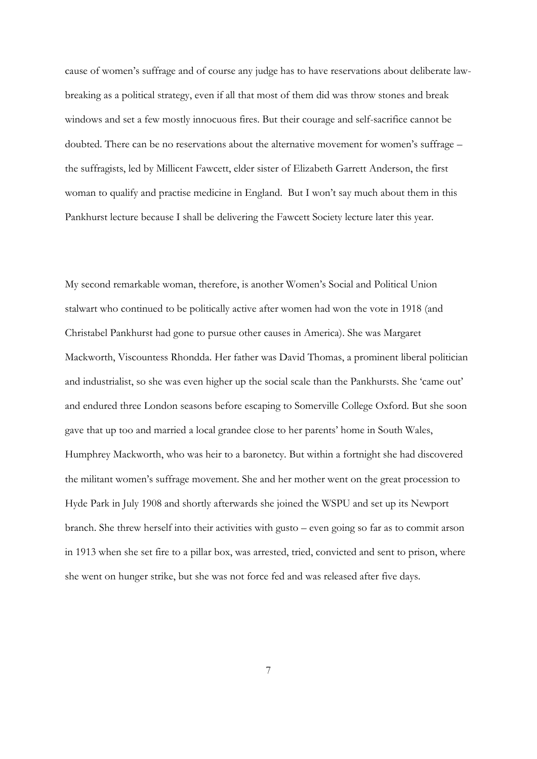cause of women's suffrage and of course any judge has to have reservations about deliberate lawbreaking as a political strategy, even if all that most of them did was throw stones and break windows and set a few mostly innocuous fires. But their courage and self-sacrifice cannot be doubted. There can be no reservations about the alternative movement for women's suffrage – the suffragists, led by Millicent Fawcett, elder sister of Elizabeth Garrett Anderson, the first woman to qualify and practise medicine in England. But I won't say much about them in this Pankhurst lecture because I shall be delivering the Fawcett Society lecture later this year.

My second remarkable woman, therefore, is another Women's Social and Political Union stalwart who continued to be politically active after women had won the vote in 1918 (and Christabel Pankhurst had gone to pursue other causes in America). She was Margaret Mackworth, Viscountess Rhondda. Her father was David Thomas, a prominent liberal politician and industrialist, so she was even higher up the social scale than the Pankhursts. She 'came out' and endured three London seasons before escaping to Somerville College Oxford. But she soon gave that up too and married a local grandee close to her parents' home in South Wales, Humphrey Mackworth, who was heir to a baronetcy. But within a fortnight she had discovered the militant women's suffrage movement. She and her mother went on the great procession to Hyde Park in July 1908 and shortly afterwards she joined the WSPU and set up its Newport branch. She threw herself into their activities with gusto – even going so far as to commit arson in 1913 when she set fire to a pillar box, was arrested, tried, convicted and sent to prison, where she went on hunger strike, but she was not force fed and was released after five days.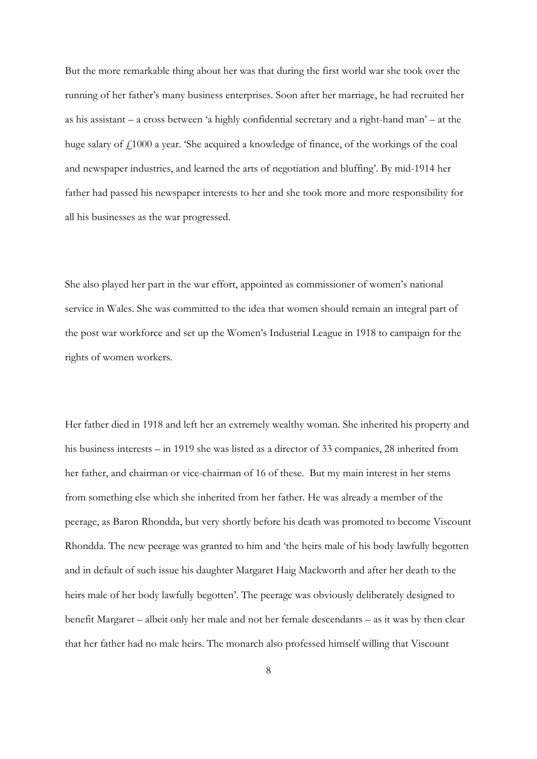But the more remarkable thing about her was that during the first world war she took over the running of her father's many business enterprises. Soon after her marriage, he had recruited her as his assistant – a cross between 'a highly confidential secretary and a right-hand man' – at the huge salary of  $f<sub>1000</sub>$  a year. 'She acquired a knowledge of finance, of the workings of the coal and newspaper industries, and learned the arts of negotiation and bluffing'. By mid-1914 her father had passed his newspaper interests to her and she took more and more responsibility for all his businesses as the war progressed.

She also played her part in the war effort, appointed as commissioner of women's national service in Wales. She was committed to the idea that women should remain an integral part of the post war workforce and set up the Women's Industrial League in 1918 to campaign for the rights of women workers.

Her father died in 1918 and left her an extremely wealthy woman. She inherited his property and his business interests – in 1919 she was listed as a director of 33 companies, 28 inherited from her father, and chairman or vice-chairman of 16 of these. But my main interest in her stems from something else which she inherited from her father. He was already a member of the peerage, as Baron Rhondda, but very shortly before his death was promoted to become Viscount Rhondda. The new peerage was granted to him and 'the heirs male of his body lawfully begotten and in default of such issue his daughter Margaret Haig Mackworth and after her death to the heirs male of her body lawfully begotten'. The peerage was obviously deliberately designed to benefit Margaret – albeit only her male and not her female descendants – as it was by then clear that her father had no male heirs. The monarch also professed himself willing that Viscount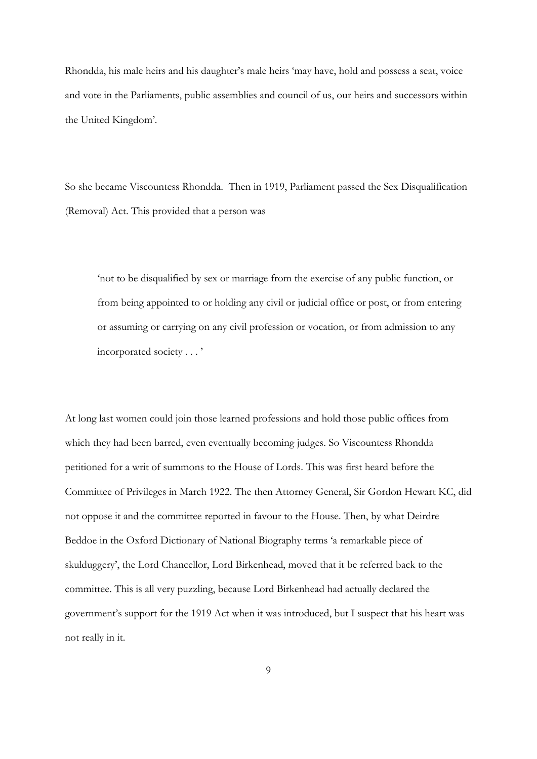Rhondda, his male heirs and his daughter's male heirs 'may have, hold and possess a seat, voice and vote in the Parliaments, public assemblies and council of us, our heirs and successors within the United Kingdom'.

So she became Viscountess Rhondda. Then in 1919, Parliament passed the Sex Disqualification (Removal) Act. This provided that a person was

'not to be disqualified by sex or marriage from the exercise of any public function, or from being appointed to or holding any civil or judicial office or post, or from entering or assuming or carrying on any civil profession or vocation, or from admission to any incorporated society . . . '

At long last women could join those learned professions and hold those public offices from which they had been barred, even eventually becoming judges. So Viscountess Rhondda petitioned for a writ of summons to the House of Lords. This was first heard before the Committee of Privileges in March 1922. The then Attorney General, Sir Gordon Hewart KC, did not oppose it and the committee reported in favour to the House. Then, by what Deirdre Beddoe in the Oxford Dictionary of National Biography terms 'a remarkable piece of skulduggery', the Lord Chancellor, Lord Birkenhead, moved that it be referred back to the committee. This is all very puzzling, because Lord Birkenhead had actually declared the government's support for the 1919 Act when it was introduced, but I suspect that his heart was not really in it.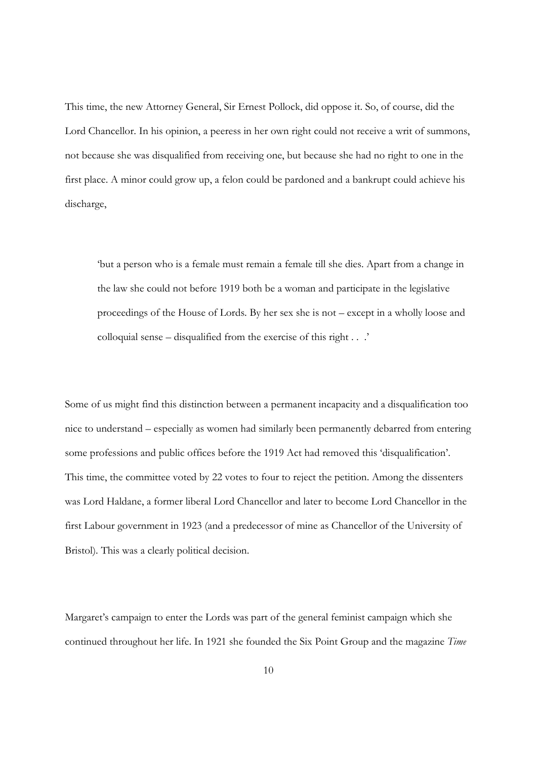This time, the new Attorney General, Sir Ernest Pollock, did oppose it. So, of course, did the Lord Chancellor. In his opinion, a peeress in her own right could not receive a writ of summons, not because she was disqualified from receiving one, but because she had no right to one in the first place. A minor could grow up, a felon could be pardoned and a bankrupt could achieve his discharge,

'but a person who is a female must remain a female till she dies. Apart from a change in the law she could not before 1919 both be a woman and participate in the legislative proceedings of the House of Lords. By her sex she is not – except in a wholly loose and colloquial sense – disqualified from the exercise of this right . . .'

Some of us might find this distinction between a permanent incapacity and a disqualification too nice to understand – especially as women had similarly been permanently debarred from entering some professions and public offices before the 1919 Act had removed this 'disqualification'. This time, the committee voted by 22 votes to four to reject the petition. Among the dissenters was Lord Haldane, a former liberal Lord Chancellor and later to become Lord Chancellor in the first Labour government in 1923 (and a predecessor of mine as Chancellor of the University of Bristol). This was a clearly political decision.

Margaret's campaign to enter the Lords was part of the general feminist campaign which she continued throughout her life. In 1921 she founded the Six Point Group and the magazine *Time*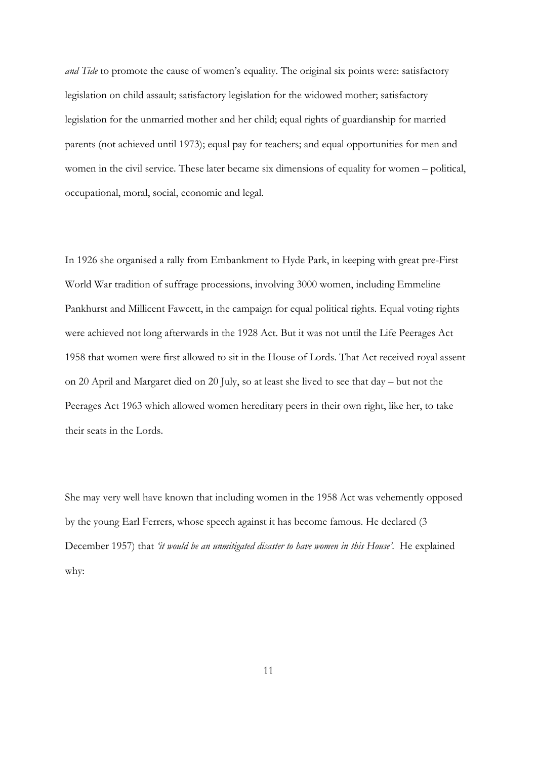*and Tide* to promote the cause of women's equality. The original six points were: satisfactory legislation on child assault; satisfactory legislation for the widowed mother; satisfactory legislation for the unmarried mother and her child; equal rights of guardianship for married parents (not achieved until 1973); equal pay for teachers; and equal opportunities for men and women in the civil service. These later became six dimensions of equality for women – political, occupational, moral, social, economic and legal.

In 1926 she organised a rally from Embankment to Hyde Park, in keeping with great pre-First World War tradition of suffrage processions, involving 3000 women, including Emmeline Pankhurst and Millicent Fawcett, in the campaign for equal political rights. Equal voting rights were achieved not long afterwards in the 1928 Act. But it was not until the Life Peerages Act 1958 that women were first allowed to sit in the House of Lords. That Act received royal assent on 20 April and Margaret died on 20 July, so at least she lived to see that day – but not the Peerages Act 1963 which allowed women hereditary peers in their own right, like her, to take their seats in the Lords.

She may very well have known that including women in the 1958 Act was vehemently opposed by the young Earl Ferrers, whose speech against it has become famous. He declared (3 December 1957) that *'it would be an unmitigated disaster to have women in this House'*. He explained why: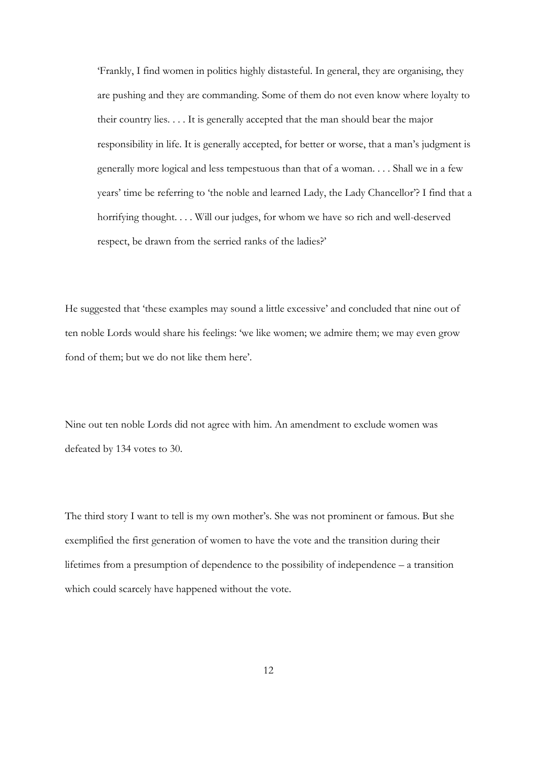'Frankly, I find women in politics highly distasteful. In general, they are organising, they are pushing and they are commanding. Some of them do not even know where loyalty to their country lies. . . . It is generally accepted that the man should bear the major responsibility in life. It is generally accepted, for better or worse, that a man's judgment is generally more logical and less tempestuous than that of a woman. . . . Shall we in a few years' time be referring to 'the noble and learned Lady, the Lady Chancellor'? I find that a horrifying thought. . . . Will our judges, for whom we have so rich and well-deserved respect, be drawn from the serried ranks of the ladies?'

He suggested that 'these examples may sound a little excessive' and concluded that nine out of ten noble Lords would share his feelings: 'we like women; we admire them; we may even grow fond of them; but we do not like them here'.

Nine out ten noble Lords did not agree with him. An amendment to exclude women was defeated by 134 votes to 30.

The third story I want to tell is my own mother's. She was not prominent or famous. But she exemplified the first generation of women to have the vote and the transition during their lifetimes from a presumption of dependence to the possibility of independence – a transition which could scarcely have happened without the vote.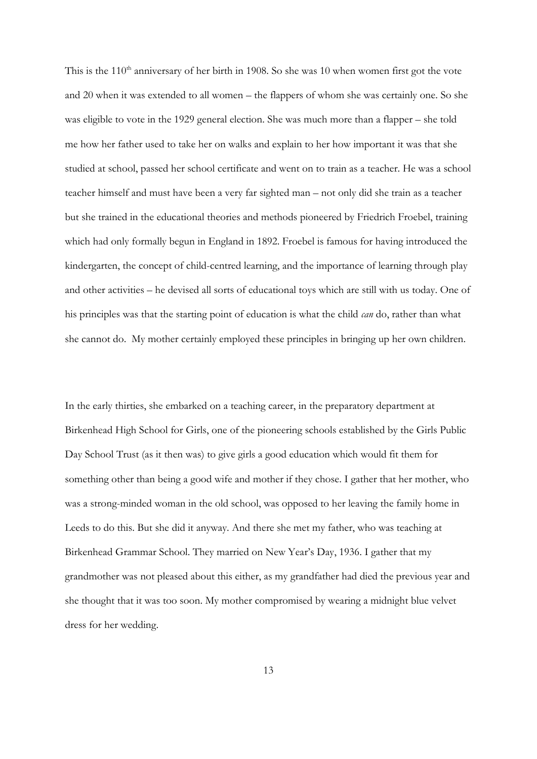This is the  $110<sup>th</sup>$  anniversary of her birth in 1908. So she was 10 when women first got the vote and 20 when it was extended to all women – the flappers of whom she was certainly one. So she was eligible to vote in the 1929 general election. She was much more than a flapper – she told me how her father used to take her on walks and explain to her how important it was that she studied at school, passed her school certificate and went on to train as a teacher. He was a school teacher himself and must have been a very far sighted man – not only did she train as a teacher but she trained in the educational theories and methods pioneered by Friedrich Froebel, training which had only formally begun in England in 1892. Froebel is famous for having introduced the kindergarten, the concept of child-centred learning, and the importance of learning through play and other activities – he devised all sorts of educational toys which are still with us today. One of his principles was that the starting point of education is what the child *can* do, rather than what she cannot do. My mother certainly employed these principles in bringing up her own children.

In the early thirties, she embarked on a teaching career, in the preparatory department at Birkenhead High School for Girls, one of the pioneering schools established by the Girls Public Day School Trust (as it then was) to give girls a good education which would fit them for something other than being a good wife and mother if they chose. I gather that her mother, who was a strong-minded woman in the old school, was opposed to her leaving the family home in Leeds to do this. But she did it anyway. And there she met my father, who was teaching at Birkenhead Grammar School. They married on New Year's Day, 1936. I gather that my grandmother was not pleased about this either, as my grandfather had died the previous year and she thought that it was too soon. My mother compromised by wearing a midnight blue velvet dress for her wedding.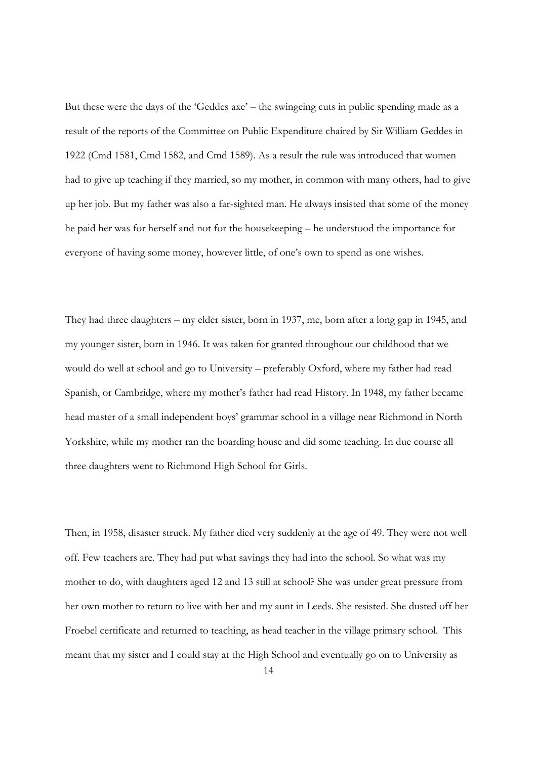But these were the days of the 'Geddes axe' – the swingeing cuts in public spending made as a result of the reports of the Committee on Public Expenditure chaired by Sir William Geddes in 1922 (Cmd 1581, Cmd 1582, and Cmd 1589). As a result the rule was introduced that women had to give up teaching if they married, so my mother, in common with many others, had to give up her job. But my father was also a far-sighted man. He always insisted that some of the money he paid her was for herself and not for the housekeeping – he understood the importance for everyone of having some money, however little, of one's own to spend as one wishes.

They had three daughters – my elder sister, born in 1937, me, born after a long gap in 1945, and my younger sister, born in 1946. It was taken for granted throughout our childhood that we would do well at school and go to University – preferably Oxford, where my father had read Spanish, or Cambridge, where my mother's father had read History. In 1948, my father became head master of a small independent boys' grammar school in a village near Richmond in North Yorkshire, while my mother ran the boarding house and did some teaching. In due course all three daughters went to Richmond High School for Girls.

Then, in 1958, disaster struck. My father died very suddenly at the age of 49. They were not well off. Few teachers are. They had put what savings they had into the school. So what was my mother to do, with daughters aged 12 and 13 still at school? She was under great pressure from her own mother to return to live with her and my aunt in Leeds. She resisted. She dusted off her Froebel certificate and returned to teaching, as head teacher in the village primary school. This meant that my sister and I could stay at the High School and eventually go on to University as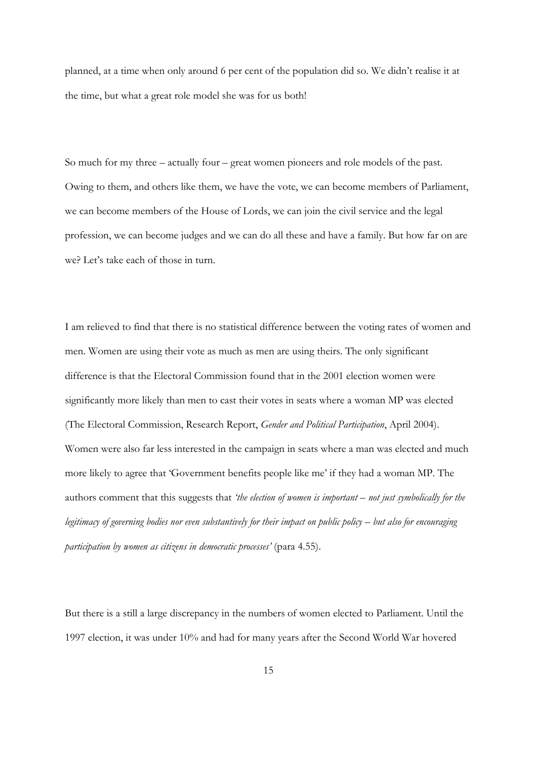planned, at a time when only around 6 per cent of the population did so. We didn't realise it at the time, but what a great role model she was for us both!

So much for my three – actually four – great women pioneers and role models of the past. Owing to them, and others like them, we have the vote, we can become members of Parliament, we can become members of the House of Lords, we can join the civil service and the legal profession, we can become judges and we can do all these and have a family. But how far on are we? Let's take each of those in turn.

I am relieved to find that there is no statistical difference between the voting rates of women and men. Women are using their vote as much as men are using theirs. The only significant difference is that the Electoral Commission found that in the 2001 election women were significantly more likely than men to cast their votes in seats where a woman MP was elected (The Electoral Commission, Research Report, *Gender and Political Participation*, April 2004). Women were also far less interested in the campaign in seats where a man was elected and much more likely to agree that 'Government benefits people like me' if they had a woman MP. The authors comment that this suggests that *'the election of women is important – not just symbolically for the legitimacy of governing bodies nor even substantively for their impact on public policy – but also for encouraging participation by women as citizens in democratic processes'* (para 4.55).

But there is a still a large discrepancy in the numbers of women elected to Parliament. Until the 1997 election, it was under 10% and had for many years after the Second World War hovered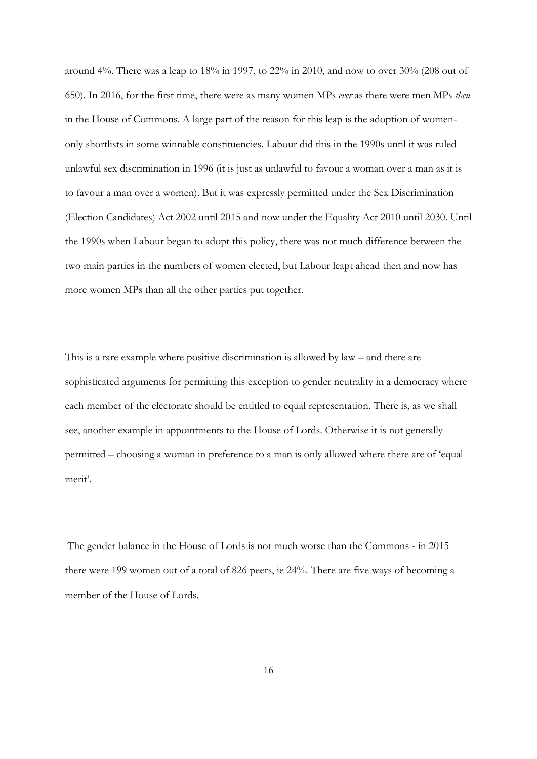around 4%. There was a leap to 18% in 1997, to 22% in 2010, and now to over 30% (208 out of 650). In 2016, for the first time, there were as many women MPs *ever* as there were men MPs *then* in the House of Commons. A large part of the reason for this leap is the adoption of womenonly shortlists in some winnable constituencies. Labour did this in the 1990s until it was ruled unlawful sex discrimination in 1996 (it is just as unlawful to favour a woman over a man as it is to favour a man over a women). But it was expressly permitted under the Sex Discrimination (Election Candidates) Act 2002 until 2015 and now under the Equality Act 2010 until 2030. Until the 1990s when Labour began to adopt this policy, there was not much difference between the two main parties in the numbers of women elected, but Labour leapt ahead then and now has more women MPs than all the other parties put together.

This is a rare example where positive discrimination is allowed by law – and there are sophisticated arguments for permitting this exception to gender neutrality in a democracy where each member of the electorate should be entitled to equal representation. There is, as we shall see, another example in appointments to the House of Lords. Otherwise it is not generally permitted – choosing a woman in preference to a man is only allowed where there are of 'equal merit'.

The gender balance in the House of Lords is not much worse than the Commons - in 2015 there were 199 women out of a total of 826 peers, ie 24%. There are five ways of becoming a member of the House of Lords.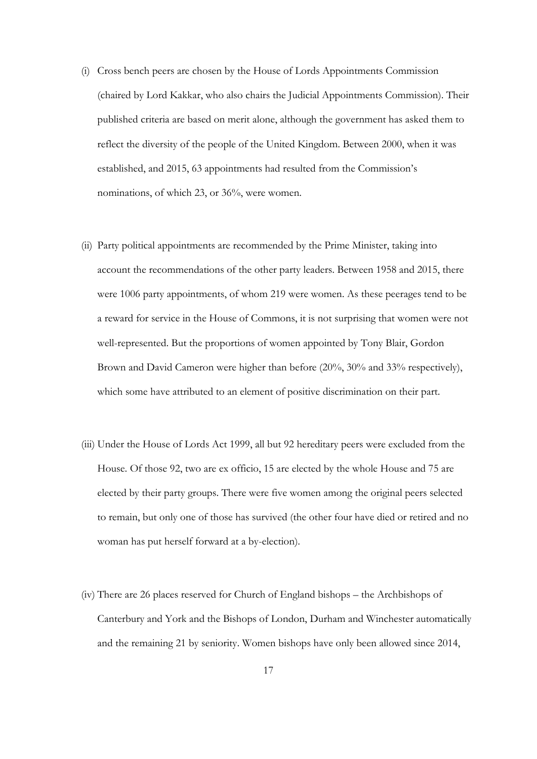- (i) Cross bench peers are chosen by the House of Lords Appointments Commission (chaired by Lord Kakkar, who also chairs the Judicial Appointments Commission). Their published criteria are based on merit alone, although the government has asked them to reflect the diversity of the people of the United Kingdom. Between 2000, when it was established, and 2015, 63 appointments had resulted from the Commission's nominations, of which 23, or 36%, were women.
- (ii) Party political appointments are recommended by the Prime Minister, taking into account the recommendations of the other party leaders. Between 1958 and 2015, there were 1006 party appointments, of whom 219 were women. As these peerages tend to be a reward for service in the House of Commons, it is not surprising that women were not well-represented. But the proportions of women appointed by Tony Blair, Gordon Brown and David Cameron were higher than before (20%, 30% and 33% respectively), which some have attributed to an element of positive discrimination on their part.
- (iii) Under the House of Lords Act 1999, all but 92 hereditary peers were excluded from the House. Of those 92, two are ex officio, 15 are elected by the whole House and 75 are elected by their party groups. There were five women among the original peers selected to remain, but only one of those has survived (the other four have died or retired and no woman has put herself forward at a by-election).
- (iv) There are 26 places reserved for Church of England bishops the Archbishops of Canterbury and York and the Bishops of London, Durham and Winchester automatically and the remaining 21 by seniority. Women bishops have only been allowed since 2014,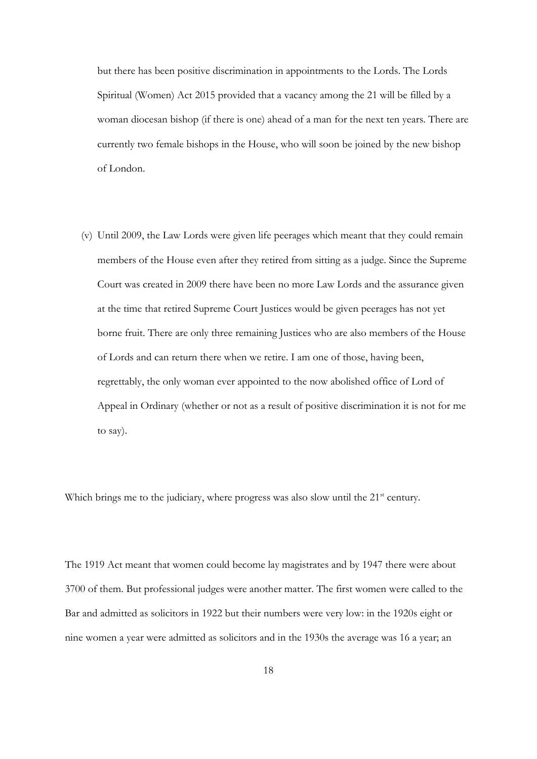but there has been positive discrimination in appointments to the Lords. The Lords Spiritual (Women) Act 2015 provided that a vacancy among the 21 will be filled by a woman diocesan bishop (if there is one) ahead of a man for the next ten years. There are currently two female bishops in the House, who will soon be joined by the new bishop of London.

(v) Until 2009, the Law Lords were given life peerages which meant that they could remain members of the House even after they retired from sitting as a judge. Since the Supreme Court was created in 2009 there have been no more Law Lords and the assurance given at the time that retired Supreme Court Justices would be given peerages has not yet borne fruit. There are only three remaining Justices who are also members of the House of Lords and can return there when we retire. I am one of those, having been, regrettably, the only woman ever appointed to the now abolished office of Lord of Appeal in Ordinary (whether or not as a result of positive discrimination it is not for me to say).

Which brings me to the judiciary, where progress was also slow until the 21<sup>st</sup> century.

The 1919 Act meant that women could become lay magistrates and by 1947 there were about 3700 of them. But professional judges were another matter. The first women were called to the Bar and admitted as solicitors in 1922 but their numbers were very low: in the 1920s eight or nine women a year were admitted as solicitors and in the 1930s the average was 16 a year; an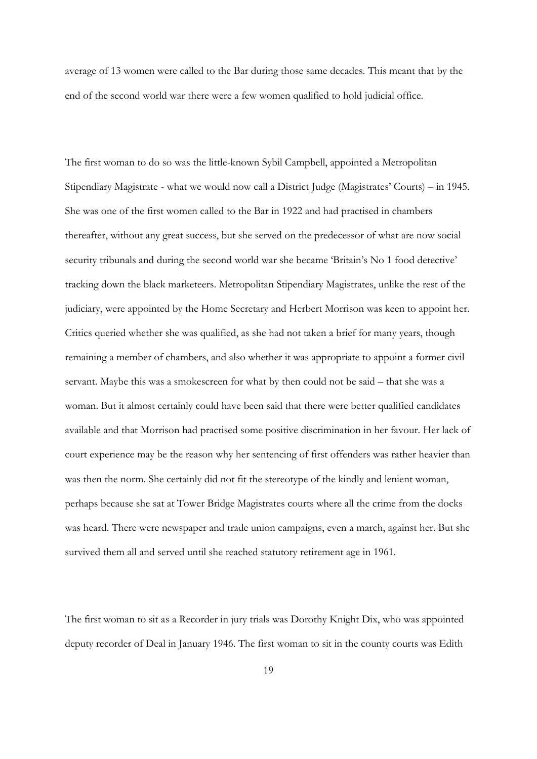average of 13 women were called to the Bar during those same decades. This meant that by the end of the second world war there were a few women qualified to hold judicial office.

The first woman to do so was the little-known Sybil Campbell, appointed a Metropolitan Stipendiary Magistrate - what we would now call a District Judge (Magistrates' Courts) – in 1945. She was one of the first women called to the Bar in 1922 and had practised in chambers thereafter, without any great success, but she served on the predecessor of what are now social security tribunals and during the second world war she became 'Britain's No 1 food detective' tracking down the black marketeers. Metropolitan Stipendiary Magistrates, unlike the rest of the judiciary, were appointed by the Home Secretary and Herbert Morrison was keen to appoint her. Critics queried whether she was qualified, as she had not taken a brief for many years, though remaining a member of chambers, and also whether it was appropriate to appoint a former civil servant. Maybe this was a smokescreen for what by then could not be said – that she was a woman. But it almost certainly could have been said that there were better qualified candidates available and that Morrison had practised some positive discrimination in her favour. Her lack of court experience may be the reason why her sentencing of first offenders was rather heavier than was then the norm. She certainly did not fit the stereotype of the kindly and lenient woman, perhaps because she sat at Tower Bridge Magistrates courts where all the crime from the docks was heard. There were newspaper and trade union campaigns, even a march, against her. But she survived them all and served until she reached statutory retirement age in 1961.

The first woman to sit as a Recorder in jury trials was Dorothy Knight Dix, who was appointed deputy recorder of Deal in January 1946. The first woman to sit in the county courts was Edith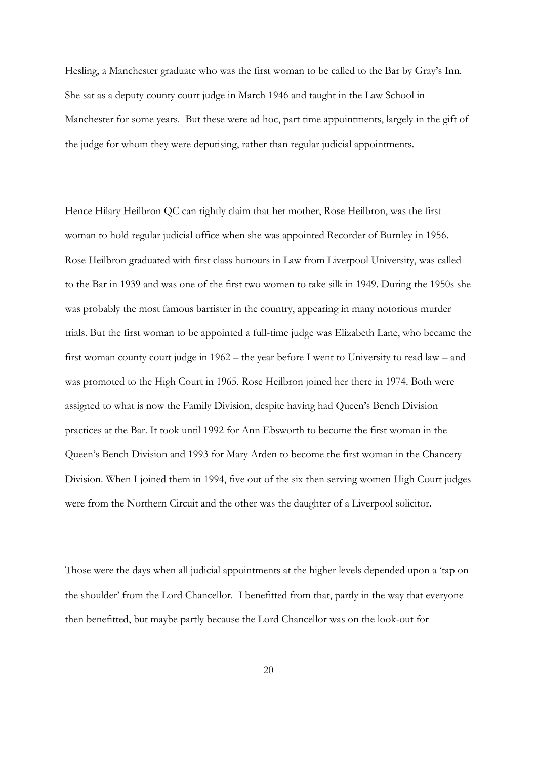Hesling, a Manchester graduate who was the first woman to be called to the Bar by Gray's Inn. She sat as a deputy county court judge in March 1946 and taught in the Law School in Manchester for some years. But these were ad hoc, part time appointments, largely in the gift of the judge for whom they were deputising, rather than regular judicial appointments.

Hence Hilary Heilbron QC can rightly claim that her mother, Rose Heilbron, was the first woman to hold regular judicial office when she was appointed Recorder of Burnley in 1956. Rose Heilbron graduated with first class honours in Law from Liverpool University, was called to the Bar in 1939 and was one of the first two women to take silk in 1949. During the 1950s she was probably the most famous barrister in the country, appearing in many notorious murder trials. But the first woman to be appointed a full-time judge was Elizabeth Lane, who became the first woman county court judge in 1962 – the year before I went to University to read law – and was promoted to the High Court in 1965. Rose Heilbron joined her there in 1974. Both were assigned to what is now the Family Division, despite having had Queen's Bench Division practices at the Bar. It took until 1992 for Ann Ebsworth to become the first woman in the Queen's Bench Division and 1993 for Mary Arden to become the first woman in the Chancery Division. When I joined them in 1994, five out of the six then serving women High Court judges were from the Northern Circuit and the other was the daughter of a Liverpool solicitor.

Those were the days when all judicial appointments at the higher levels depended upon a 'tap on the shoulder' from the Lord Chancellor. I benefitted from that, partly in the way that everyone then benefitted, but maybe partly because the Lord Chancellor was on the look-out for